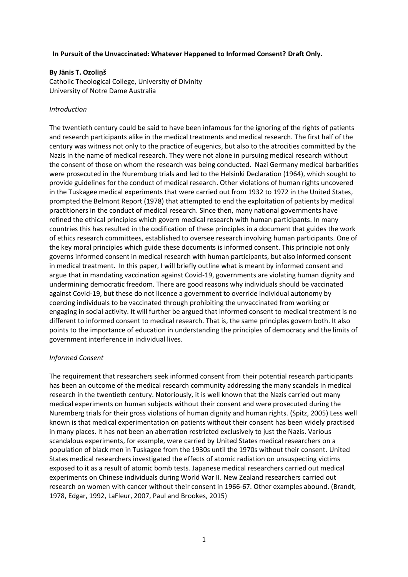### **In Pursuit of the Unvaccinated: Whatever Happened to Informed Consent? Draft Only.**

## **By Jānis T. Ozoliņš**

Catholic Theological College, University of Divinity University of Notre Dame Australia

### *Introduction*

The twentieth century could be said to have been infamous for the ignoring of the rights of patients and research participants alike in the medical treatments and medical research. The first half of the century was witness not only to the practice of eugenics, but also to the atrocities committed by the Nazis in the name of medical research. They were not alone in pursuing medical research without the consent of those on whom the research was being conducted. Nazi Germany medical barbarities were prosecuted in the Nuremburg trials and led to the Helsinki Declaration (1964), which sought to provide guidelines for the conduct of medical research. Other violations of human rights uncovered in the Tuskagee medical experiments that were carried out from 1932 to 1972 in the United States, prompted the Belmont Report (1978) that attempted to end the exploitation of patients by medical practitioners in the conduct of medical research. Since then, many national governments have refined the ethical principles which govern medical research with human participants. In many countries this has resulted in the codification of these principles in a document that guides the work of ethics research committees, established to oversee research involving human participants. One of the key moral principles which guide these documents is informed consent. This principle not only governs informed consent in medical research with human participants, but also informed consent in medical treatment. In this paper, I will briefly outline what is meant by informed consent and argue that in mandating vaccination against Covid-19, governments are violating human dignity and undermining democratic freedom. There are good reasons why individuals should be vaccinated against Covid-19, but these do not licence a government to override individual autonomy by coercing individuals to be vaccinated through prohibiting the unvaccinated from working or engaging in social activity. It will further be argued that informed consent to medical treatment is no different to informed consent to medical research. That is, the same principles govern both. It also points to the importance of education in understanding the principles of democracy and the limits of government interference in individual lives.

#### *Informed Consent*

The requirement that researchers seek informed consent from their potential research participants has been an outcome of the medical research community addressing the many scandals in medical research in the twentieth century. Notoriously, it is well known that the Nazis carried out many medical experiments on human subjects without their consent and were prosecuted during the Nuremberg trials for their gross violations of human dignity and human rights. (Spitz, 2005) Less well known is that medical experimentation on patients without their consent has been widely practised in many places. It has not been an aberration restricted exclusively to just the Nazis. Various scandalous experiments, for example, were carried by United States medical researchers on a population of black men in Tuskagee from the 1930s until the 1970s without their consent. United States medical researchers investigated the effects of atomic radiation on unsuspecting victims exposed to it as a result of atomic bomb tests. Japanese medical researchers carried out medical experiments on Chinese individuals during World War II. New Zealand researchers carried out research on women with cancer without their consent in 1966-67. Other examples abound. (Brandt, 1978, Edgar, 1992, LaFleur, 2007, Paul and Brookes, 2015)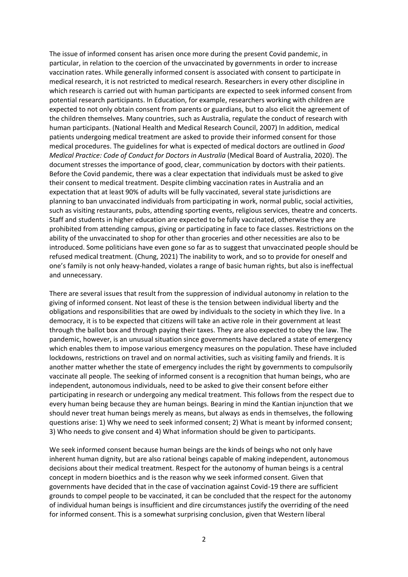The issue of informed consent has arisen once more during the present Covid pandemic, in particular, in relation to the coercion of the unvaccinated by governments in order to increase vaccination rates. While generally informed consent is associated with consent to participate in medical research, it is not restricted to medical research. Researchers in every other discipline in which research is carried out with human participants are expected to seek informed consent from potential research participants. In Education, for example, researchers working with children are expected to not only obtain consent from parents or guardians, but to also elicit the agreement of the children themselves. Many countries, such as Australia, regulate the conduct of research with human participants. (National Health and Medical Research Council, 2007) In addition, medical patients undergoing medical treatment are asked to provide their informed consent for those medical procedures. The guidelines for what is expected of medical doctors are outlined in *Good Medical Practice: Code of Conduct for Doctors in Australia* (Medical Board of Australia, 2020). The document stresses the importance of good, clear, communication by doctors with their patients. Before the Covid pandemic, there was a clear expectation that individuals must be asked to give their consent to medical treatment. Despite climbing vaccination rates in Australia and an expectation that at least 90% of adults will be fully vaccinated, several state jurisdictions are planning to ban unvaccinated individuals from participating in work, normal public, social activities, such as visiting restaurants, pubs, attending sporting events, religious services, theatre and concerts. Staff and students in higher education are expected to be fully vaccinated, otherwise they are prohibited from attending campus, giving or participating in face to face classes. Restrictions on the ability of the unvaccinated to shop for other than groceries and other necessities are also to be introduced. Some politicians have even gone so far as to suggest that unvaccinated people should be refused medical treatment. (Chung, 2021) The inability to work, and so to provide for oneself and one's family is not only heavy-handed, violates a range of basic human rights, but also is ineffectual and unnecessary.

There are several issues that result from the suppression of individual autonomy in relation to the giving of informed consent. Not least of these is the tension between individual liberty and the obligations and responsibilities that are owed by individuals to the society in which they live. In a democracy, it is to be expected that citizens will take an active role in their government at least through the ballot box and through paying their taxes. They are also expected to obey the law. The pandemic, however, is an unusual situation since governments have declared a state of emergency which enables them to impose various emergency measures on the population. These have included lockdowns, restrictions on travel and on normal activities, such as visiting family and friends. It is another matter whether the state of emergency includes the right by governments to compulsorily vaccinate all people. The seeking of informed consent is a recognition that human beings, who are independent, autonomous individuals, need to be asked to give their consent before either participating in research or undergoing any medical treatment. This follows from the respect due to every human being because they are human beings. Bearing in mind the Kantian injunction that we should never treat human beings merely as means, but always as ends in themselves, the following questions arise: 1) Why we need to seek informed consent; 2) What is meant by informed consent; 3) Who needs to give consent and 4) What information should be given to participants.

We seek informed consent because human beings are the kinds of beings who not only have inherent human dignity, but are also rational beings capable of making independent, autonomous decisions about their medical treatment. Respect for the autonomy of human beings is a central concept in modern bioethics and is the reason why we seek informed consent. Given that governments have decided that in the case of vaccination against Covid-19 there are sufficient grounds to compel people to be vaccinated, it can be concluded that the respect for the autonomy of individual human beings is insufficient and dire circumstances justify the overriding of the need for informed consent. This is a somewhat surprising conclusion, given that Western liberal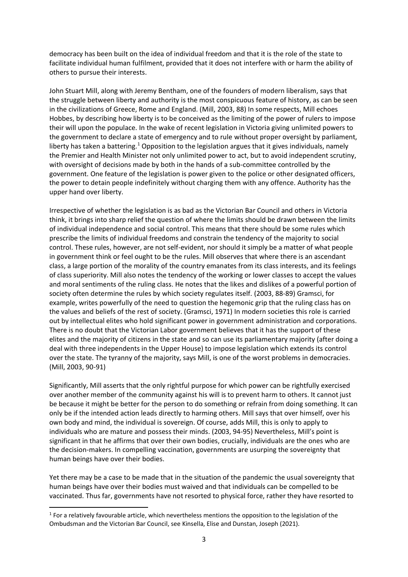democracy has been built on the idea of individual freedom and that it is the role of the state to facilitate individual human fulfilment, provided that it does not interfere with or harm the ability of others to pursue their interests.

John Stuart Mill, along with Jeremy Bentham, one of the founders of modern liberalism, says that the struggle between liberty and authority is the most conspicuous feature of history, as can be seen in the civilizations of Greece, Rome and England. (Mill, 2003, 88) In some respects, Mill echoes Hobbes, by describing how liberty is to be conceived as the limiting of the power of rulers to impose their will upon the populace. In the wake of recent legislation in Victoria giving unlimited powers to the government to declare a state of emergency and to rule without proper oversight by parliament, liberty has taken a battering.<sup>1</sup> Opposition to the legislation argues that it gives individuals, namely the Premier and Health Minister not only unlimited power to act, but to avoid independent scrutiny, with oversight of decisions made by both in the hands of a sub-committee controlled by the government. One feature of the legislation is power given to the police or other designated officers, the power to detain people indefinitely without charging them with any offence. Authority has the upper hand over liberty.

Irrespective of whether the legislation is as bad as the Victorian Bar Council and others in Victoria think, it brings into sharp relief the question of where the limits should be drawn between the limits of individual independence and social control. This means that there should be some rules which prescribe the limits of individual freedoms and constrain the tendency of the majority to social control. These rules, however, are not self-evident, nor should it simply be a matter of what people in government think or feel ought to be the rules. Mill observes that where there is an ascendant class, a large portion of the morality of the country emanates from its class interests, and its feelings of class superiority. Mill also notes the tendency of the working or lower classes to accept the values and moral sentiments of the ruling class. He notes that the likes and dislikes of a powerful portion of society often determine the rules by which society regulates itself. (2003, 88-89) Gramsci, for example, writes powerfully of the need to question the hegemonic grip that the ruling class has on the values and beliefs of the rest of society. (Gramsci, 1971) In modern societies this role is carried out by intellectual elites who hold significant power in government administration and corporations. There is no doubt that the Victorian Labor government believes that it has the support of these elites and the majority of citizens in the state and so can use its parliamentary majority (after doing a deal with three independents in the Upper House) to impose legislation which extends its control over the state. The tyranny of the majority, says Mill, is one of the worst problems in democracies. (Mill, 2003, 90-91)

Significantly, Mill asserts that the only rightful purpose for which power can be rightfully exercised over another member of the community against his will is to prevent harm to others. It cannot just be because it might be better for the person to do something or refrain from doing something. It can only be if the intended action leads directly to harming others. Mill says that over himself, over his own body and mind, the individual is sovereign. Of course, adds Mill, this is only to apply to individuals who are mature and possess their minds. (2003, 94-95) Nevertheless, Mill's point is significant in that he affirms that over their own bodies, crucially, individuals are the ones who are the decision-makers. In compelling vaccination, governments are usurping the sovereignty that human beings have over their bodies.

Yet there may be a case to be made that in the situation of the pandemic the usual sovereignty that human beings have over their bodies must waived and that individuals can be compelled to be vaccinated. Thus far, governments have not resorted to physical force, rather they have resorted to

 $<sup>1</sup>$  For a relatively favourable article, which nevertheless mentions the opposition to the legislation of the</sup> Ombudsman and the Victorian Bar Council, see Kinsella, Elise and Dunstan, Joseph (2021).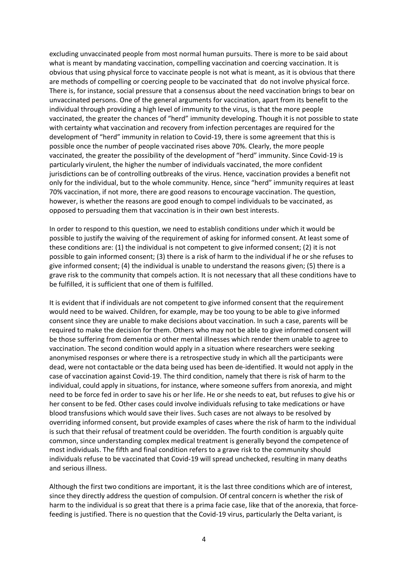excluding unvaccinated people from most normal human pursuits. There is more to be said about what is meant by mandating vaccination, compelling vaccination and coercing vaccination. It is obvious that using physical force to vaccinate people is not what is meant, as it is obvious that there are methods of compelling or coercing people to be vaccinated that do not involve physical force. There is, for instance, social pressure that a consensus about the need vaccination brings to bear on unvaccinated persons. One of the general arguments for vaccination, apart from its benefit to the individual through providing a high level of immunity to the virus, is that the more people vaccinated, the greater the chances of "herd" immunity developing. Though it is not possible to state with certainty what vaccination and recovery from infection percentages are required for the development of "herd" immunity in relation to Covid-19, there is some agreement that this is possible once the number of people vaccinated rises above 70%. Clearly, the more people vaccinated, the greater the possibility of the development of "herd" immunity. Since Covid-19 is particularly virulent, the higher the number of individuals vaccinated, the more confident jurisdictions can be of controlling outbreaks of the virus. Hence, vaccination provides a benefit not only for the individual, but to the whole community. Hence, since "herd" immunity requires at least 70% vaccination, if not more, there are good reasons to encourage vaccination. The question, however, is whether the reasons are good enough to compel individuals to be vaccinated, as opposed to persuading them that vaccination is in their own best interests.

In order to respond to this question, we need to establish conditions under which it would be possible to justify the waiving of the requirement of asking for informed consent. At least some of these conditions are: (1) the individual is not competent to give informed consent; (2) it is not possible to gain informed consent; (3) there is a risk of harm to the individual if he or she refuses to give informed consent; (4) the individual is unable to understand the reasons given; (5) there is a grave risk to the community that compels action. It is not necessary that all these conditions have to be fulfilled, it is sufficient that one of them is fulfilled.

It is evident that if individuals are not competent to give informed consent that the requirement would need to be waived. Children, for example, may be too young to be able to give informed consent since they are unable to make decisions about vaccination. In such a case, parents will be required to make the decision for them. Others who may not be able to give informed consent will be those suffering from dementia or other mental illnesses which render them unable to agree to vaccination. The second condition would apply in a situation where researchers were seeking anonymised responses or where there is a retrospective study in which all the participants were dead, were not contactable or the data being used has been de-identified. It would not apply in the case of vaccination against Covid-19. The third condition, namely that there is risk of harm to the individual, could apply in situations, for instance, where someone suffers from anorexia, and might need to be force fed in order to save his or her life. He or she needs to eat, but refuses to give his or her consent to be fed. Other cases could involve individuals refusing to take medications or have blood transfusions which would save their lives. Such cases are not always to be resolved by overriding informed consent, but provide examples of cases where the risk of harm to the individual is such that their refusal of treatment could be overidden. The fourth condition is arguably quite common, since understanding complex medical treatment is generally beyond the competence of most individuals. The fifth and final condition refers to a grave risk to the community should individuals refuse to be vaccinated that Covid-19 will spread unchecked, resulting in many deaths and serious illness.

Although the first two conditions are important, it is the last three conditions which are of interest, since they directly address the question of compulsion. Of central concern is whether the risk of harm to the individual is so great that there is a prima facie case, like that of the anorexia, that forcefeeding is justified. There is no question that the Covid-19 virus, particularly the Delta variant, is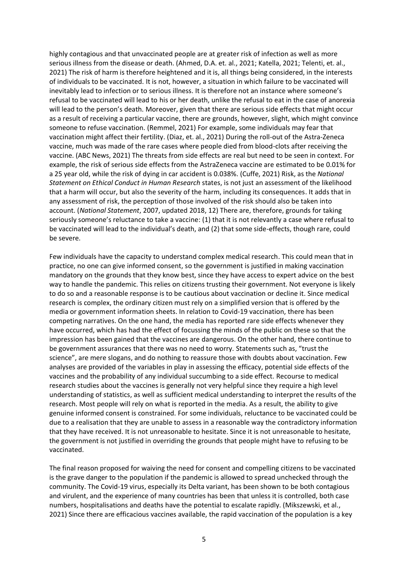highly contagious and that unvaccinated people are at greater risk of infection as well as more serious illness from the disease or death. (Ahmed, D.A. et. al., 2021; Katella, 2021; Telenti, et. al., 2021) The risk of harm is therefore heightened and it is, all things being considered, in the interests of individuals to be vaccinated. It is not, however, a situation in which failure to be vaccinated will inevitably lead to infection or to serious illness. It is therefore not an instance where someone's refusal to be vaccinated will lead to his or her death, unlike the refusal to eat in the case of anorexia will lead to the person's death. Moreover, given that there are serious side effects that might occur as a result of receiving a particular vaccine, there are grounds, however, slight, which might convince someone to refuse vaccination. (Remmel, 2021) For example, some individuals may fear that vaccination might affect their fertility. (Diaz, et. al., 2021) During the roll-out of the Astra-Zeneca vaccine, much was made of the rare cases where people died from blood-clots after receiving the vaccine. (ABC News, 2021) The threats from side effects are real but need to be seen in context. For example, the risk of serious side effects from the AstraZeneca vaccine are estimated to be 0.01% for a 25 year old, while the risk of dying in car accident is 0.038%. (Cuffe, 2021) Risk, as the *National Statement on Ethical Conduct in Human Research* states, is not just an assessment of the likelihood that a harm will occur, but also the severity of the harm, including its consequences. It adds that in any assessment of risk, the perception of those involved of the risk should also be taken into account. (*National Statement*, 2007, updated 2018, 12) There are, therefore, grounds for taking seriously someone's reluctance to take a vaccine: (1) that it is not relevantly a case where refusal to be vaccinated will lead to the individual's death, and (2) that some side-effects, though rare, could be severe.

Few individuals have the capacity to understand complex medical research. This could mean that in practice, no one can give informed consent, so the government is justified in making vaccination mandatory on the grounds that they know best, since they have access to expert advice on the best way to handle the pandemic. This relies on citizens trusting their government. Not everyone is likely to do so and a reasonable response is to be cautious about vaccination or decline it. Since medical research is complex, the ordinary citizen must rely on a simplified version that is offered by the media or government information sheets. In relation to Covid-19 vaccination, there has been competing narratives. On the one hand, the media has reported rare side effects whenever they have occurred, which has had the effect of focussing the minds of the public on these so that the impression has been gained that the vaccines are dangerous. On the other hand, there continue to be government assurances that there was no need to worry. Statements such as, "trust the science", are mere slogans, and do nothing to reassure those with doubts about vaccination. Few analyses are provided of the variables in play in assessing the efficacy, potential side effects of the vaccines and the probability of any individual succumbing to a side effect. Recourse to medical research studies about the vaccines is generally not very helpful since they require a high level understanding of statistics, as well as sufficient medical understanding to interpret the results of the research. Most people will rely on what is reported in the media. As a result, the ability to give genuine informed consent is constrained. For some individuals, reluctance to be vaccinated could be due to a realisation that they are unable to assess in a reasonable way the contradictory information that they have received. It is not unreasonable to hesitate. Since it is not unreasonable to hesitate, the government is not justified in overriding the grounds that people might have to refusing to be vaccinated.

The final reason proposed for waiving the need for consent and compelling citizens to be vaccinated is the grave danger to the population if the pandemic is allowed to spread unchecked through the community. The Covid-19 virus, especially its Delta variant, has been shown to be both contagious and virulent, and the experience of many countries has been that unless it is controlled, both case numbers, hospitalisations and deaths have the potential to escalate rapidly. (Mikszewski, et al., 2021) Since there are efficacious vaccines available, the rapid vaccination of the population is a key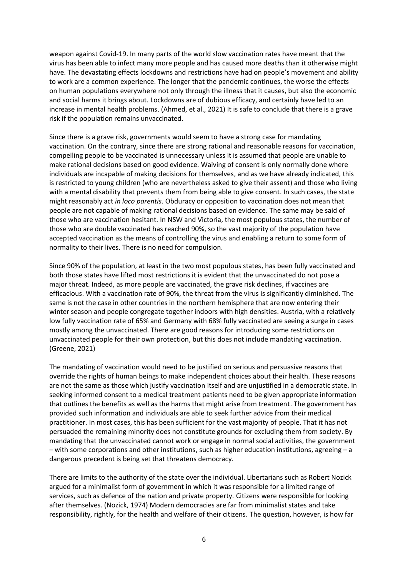weapon against Covid-19. In many parts of the world slow vaccination rates have meant that the virus has been able to infect many more people and has caused more deaths than it otherwise might have. The devastating effects lockdowns and restrictions have had on people's movement and ability to work are a common experience. The longer that the pandemic continues, the worse the effects on human populations everywhere not only through the illness that it causes, but also the economic and social harms it brings about. Lockdowns are of dubious efficacy, and certainly have led to an increase in mental health problems. (Ahmed, et al., 2021) It is safe to conclude that there is a grave risk if the population remains unvaccinated.

Since there is a grave risk, governments would seem to have a strong case for mandating vaccination. On the contrary, since there are strong rational and reasonable reasons for vaccination, compelling people to be vaccinated is unnecessary unless it is assumed that people are unable to make rational decisions based on good evidence. Waiving of consent is only normally done where individuals are incapable of making decisions for themselves, and as we have already indicated, this is restricted to young children (who are nevertheless asked to give their assent) and those who living with a mental disability that prevents them from being able to give consent. In such cases, the state might reasonably act *in loco parentis*. Obduracy or opposition to vaccination does not mean that people are not capable of making rational decisions based on evidence. The same may be said of those who are vaccination hesitant. In NSW and Victoria, the most populous states, the number of those who are double vaccinated has reached 90%, so the vast majority of the population have accepted vaccination as the means of controlling the virus and enabling a return to some form of normality to their lives. There is no need for compulsion.

Since 90% of the population, at least in the two most populous states, has been fully vaccinated and both those states have lifted most restrictions it is evident that the unvaccinated do not pose a major threat. Indeed, as more people are vaccinated, the grave risk declines, if vaccines are efficacious. With a vaccination rate of 90%, the threat from the virus is significantly diminished. The same is not the case in other countries in the northern hemisphere that are now entering their winter season and people congregate together indoors with high densities. Austria, with a relatively low fully vaccination rate of 65% and Germany with 68% fully vaccinated are seeing a surge in cases mostly among the unvaccinated. There are good reasons for introducing some restrictions on unvaccinated people for their own protection, but this does not include mandating vaccination. (Greene, 2021)

The mandating of vaccination would need to be justified on serious and persuasive reasons that override the rights of human beings to make independent choices about their health. These reasons are not the same as those which justify vaccination itself and are unjustified in a democratic state. In seeking informed consent to a medical treatment patients need to be given appropriate information that outlines the benefits as well as the harms that might arise from treatment. The government has provided such information and individuals are able to seek further advice from their medical practitioner. In most cases, this has been sufficient for the vast majority of people. That it has not persuaded the remaining minority does not constitute grounds for excluding them from society. By mandating that the unvaccinated cannot work or engage in normal social activities, the government – with some corporations and other institutions, such as higher education institutions, agreeing – a dangerous precedent is being set that threatens democracy.

There are limits to the authority of the state over the individual. Libertarians such as Robert Nozick argued for a minimalist form of government in which it was responsible for a limited range of services, such as defence of the nation and private property. Citizens were responsible for looking after themselves. (Nozick, 1974) Modern democracies are far from minimalist states and take responsibility, rightly, for the health and welfare of their citizens. The question, however, is how far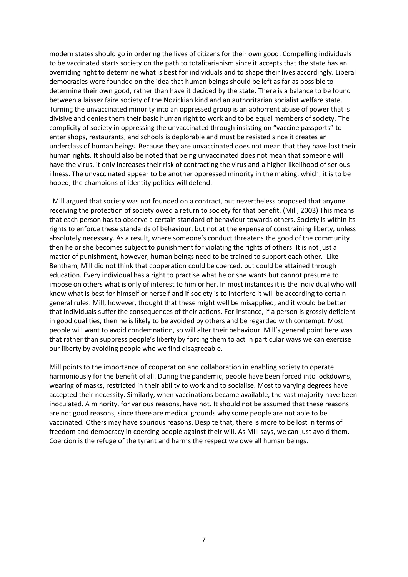modern states should go in ordering the lives of citizens for their own good. Compelling individuals to be vaccinated starts society on the path to totalitarianism since it accepts that the state has an overriding right to determine what is best for individuals and to shape their lives accordingly. Liberal democracies were founded on the idea that human beings should be left as far as possible to determine their own good, rather than have it decided by the state. There is a balance to be found between a laissez faire society of the Nozickian kind and an authoritarian socialist welfare state. Turning the unvaccinated minority into an oppressed group is an abhorrent abuse of power that is divisive and denies them their basic human right to work and to be equal members of society. The complicity of society in oppressing the unvaccinated through insisting on "vaccine passports" to enter shops, restaurants, and schools is deplorable and must be resisted since it creates an underclass of human beings. Because they are unvaccinated does not mean that they have lost their human rights. It should also be noted that being unvaccinated does not mean that someone will have the virus, it only increases their risk of contracting the virus and a higher likelihood of serious illness. The unvaccinated appear to be another oppressed minority in the making, which, it is to be hoped, the champions of identity politics will defend.

Mill argued that society was not founded on a contract, but nevertheless proposed that anyone receiving the protection of society owed a return to society for that benefit. (Mill, 2003) This means that each person has to observe a certain standard of behaviour towards others. Society is within its rights to enforce these standards of behaviour, but not at the expense of constraining liberty, unless absolutely necessary. As a result, where someone's conduct threatens the good of the community then he or she becomes subject to punishment for violating the rights of others. It is not just a matter of punishment, however, human beings need to be trained to support each other. Like Bentham, Mill did not think that cooperation could be coerced, but could be attained through education. Every individual has a right to practise what he or she wants but cannot presume to impose on others what is only of interest to him or her. In most instances it is the individual who will know what is best for himself or herself and if society is to interfere it will be according to certain general rules. Mill, however, thought that these might well be misapplied, and it would be better that individuals suffer the consequences of their actions. For instance, if a person is grossly deficient in good qualities, then he is likely to be avoided by others and be regarded with contempt. Most people will want to avoid condemnation, so will alter their behaviour. Mill's general point here was that rather than suppress people's liberty by forcing them to act in particular ways we can exercise our liberty by avoiding people who we find disagreeable.

Mill points to the importance of cooperation and collaboration in enabling society to operate harmoniously for the benefit of all. During the pandemic, people have been forced into lockdowns, wearing of masks, restricted in their ability to work and to socialise. Most to varying degrees have accepted their necessity. Similarly, when vaccinations became available, the vast majority have been inoculated. A minority, for various reasons, have not. It should not be assumed that these reasons are not good reasons, since there are medical grounds why some people are not able to be vaccinated. Others may have spurious reasons. Despite that, there is more to be lost in terms of freedom and democracy in coercing people against their will. As Mill says, we can just avoid them. Coercion is the refuge of the tyrant and harms the respect we owe all human beings.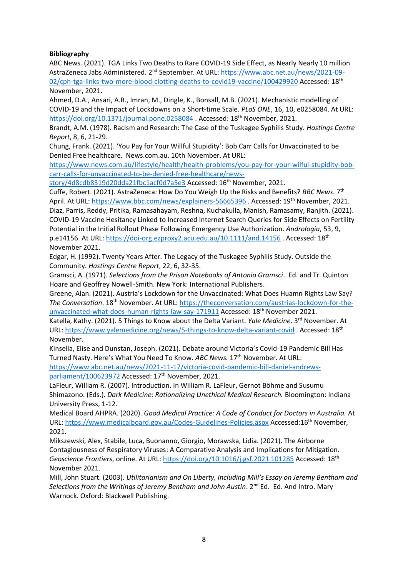# **Bibliography**

ABC News. (2021). TGA Links Two Deaths to Rare COVID-19 Side Effect, as Nearly Nearly 10 million AstraZeneca Jabs Administered. 2<sup>nd</sup> September. At URL: [https://www.abc.net.au/news/2021-09-](https://www.abc.net.au/news/2021-09-02/cph-tga-links-two-more-blood-clotting-deaths-to-covid19-vaccine/100429920) [02/cph-tga-links-two-more-blood-clotting-deaths-to-covid19-vaccine/100429920](https://www.abc.net.au/news/2021-09-02/cph-tga-links-two-more-blood-clotting-deaths-to-covid19-vaccine/100429920) Accessed: 18<sup>th</sup> November, 2021.

Ahmed, D.A., Ansari, A.R., Imran, M., Dingle, K., Bonsall, M.B. (2021). Mechanistic modelling of COVID-19 and the Impact of Lockdowns on a Short-time Scale. *PLoS ONE*, 16, 10, e0258084. At URL: <https://doi.org/10.1371/journal.pone.0258084> . Accessed: 18<sup>th</sup> November, 2021.

Brandt, A.M. (1978). Racism and Research: The Case of the Tuskagee Syphilis Study. *Hastings Centre Report*, 8, 6, 21-29.

Chung, Frank. (2021). 'You Pay for Your Willful Stupidity': Bob Carr Calls for Unvaccinated to be Denied Free healthcare. News.com.au. 10th November. At URL:

[https://www.news.com.au/lifestyle/health/health-problems/you-pay-for-your-wilful-stupidity-bob](https://www.news.com.au/lifestyle/health/health-problems/you-pay-for-your-wilful-stupidity-bob-carr-calls-for-unvaccinated-to-be-denied-free-healthcare/news-story/4d8cdb8319d20dda21fbc1acf0d7a5e3)[carr-calls-for-unvaccinated-to-be-denied-free-healthcare/news-](https://www.news.com.au/lifestyle/health/health-problems/you-pay-for-your-wilful-stupidity-bob-carr-calls-for-unvaccinated-to-be-denied-free-healthcare/news-story/4d8cdb8319d20dda21fbc1acf0d7a5e3)

[story/4d8cdb8319d20dda21fbc1acf0d7a5e3](https://www.news.com.au/lifestyle/health/health-problems/you-pay-for-your-wilful-stupidity-bob-carr-calls-for-unvaccinated-to-be-denied-free-healthcare/news-story/4d8cdb8319d20dda21fbc1acf0d7a5e3) Accessed: 16<sup>th</sup> November, 2021.

Cuffe, Robert. (2021). AstraZeneca: How Do You Weigh Up the Risks and Benefits? *BBC News*. 7th April. At URL:<https://www.bbc.com/news/explainers-56665396> . Accessed: 19<sup>th</sup> November, 2021. Diaz, Parris, Reddy, Pritika, Ramasahayam, Reshna, Kuchakulla, Manish, Ramasamy, Ranjith. (2021). COVID‐19 Vaccine Hesitancy Linked to Increased Internet Search Queries for Side Effects on Fertility Potential in the Initial Rollout Phase Following Emergency Use Authorization. *Andrologia*, 53, 9, p.e14156. At URL:<https://doi-org.ezproxy2.acu.edu.au/10.1111/and.14156> . Accessed: 18th November 2021.

Edgar, H. (1992). Twenty Years After. The Legacy of the Tuskagee Syphilis Study. Outside the Community. *Hastings Centre Report*, 22, 6, 32-35.

Gramsci, A. (1971). *Selections from the Prison Notebooks of Antonio Gramsci*. Ed. and Tr. Quinton Hoare and Geoffrey Nowell-Smith. New York: International Publishers.

Greene, Alan. (2021). Austria's Lockdown for the Unvaccinated: What Does Huamn Rights Law Say? *The Conversation*. 18th November. At URL: [https://theconversation.com/austrias-lockdown-for-the](https://theconversation.com/austrias-lockdown-for-the-unvaccinated-what-does-human-rights-law-say-171911)[unvaccinated-what-does-human-rights-law-say-171911](https://theconversation.com/austrias-lockdown-for-the-unvaccinated-what-does-human-rights-law-say-171911) Accessed: 18<sup>th</sup> November 2021.

Katella, Kathy. (2021). 5 Things to Know about the Delta Variant. *Yale Medicine*. 3<sup>rd</sup> November. At URL:<https://www.yalemedicine.org/news/5-things-to-know-delta-variant-covid> . Accessed: 18th November.

Kinsella, Elise and Dunstan, Joseph. (2021). Debate around Victoria's Covid-19 Pandemic Bill Has Turned Nasty. Here's What You Need To Know. *ABC News.* 17th November. At URL:

[https://www.abc.net.au/news/2021-11-17/victoria-covid-pandemic-bill-daniel-andrews](https://www.abc.net.au/news/2021-11-17/victoria-covid-pandemic-bill-daniel-andrews-parliament/100623972)[parliament/100623972](https://www.abc.net.au/news/2021-11-17/victoria-covid-pandemic-bill-daniel-andrews-parliament/100623972) Accessed: 17<sup>th</sup> November, 2021.

LaFleur, William R. (2007). Introduction. In William R. LaFleur, Gernot Böhme and Susumu Shimazono. (Eds.). *Dark Medicine: Rationalizing Unethical Medical Research.* Bloomington: Indiana University Press, 1-12.

Medical Board AHPRA. (2020). *Good Medical Practice: A Code of Conduct for Doctors in Australia.* At URL:<https://www.medicalboard.gov.au/Codes-Guidelines-Policies.aspx> Accessed:16th November, 2021.

Mikszewski, Alex, Stabile, Luca, Buonanno, Giorgio, Morawska, Lidia. (2021). The Airborne Contagiousness of Respiratory Viruses: A Comparative Analysis and Implications for Mitigation. *Geoscience Frontiers*, online. At URL:<https://doi.org/10.1016/j.gsf.2021.101285> Accessed: 18th November 2021.

Mill, John Stuart. (2003). *Utilitarianism and On Liberty, Including Mill's Essay on Jeremy Bentham and*  Selections from the Writings of Jeremy Bentham and John Austin. 2<sup>nd</sup> Ed. Ed. And Intro. Mary Warnock. Oxford: Blackwell Publishing.